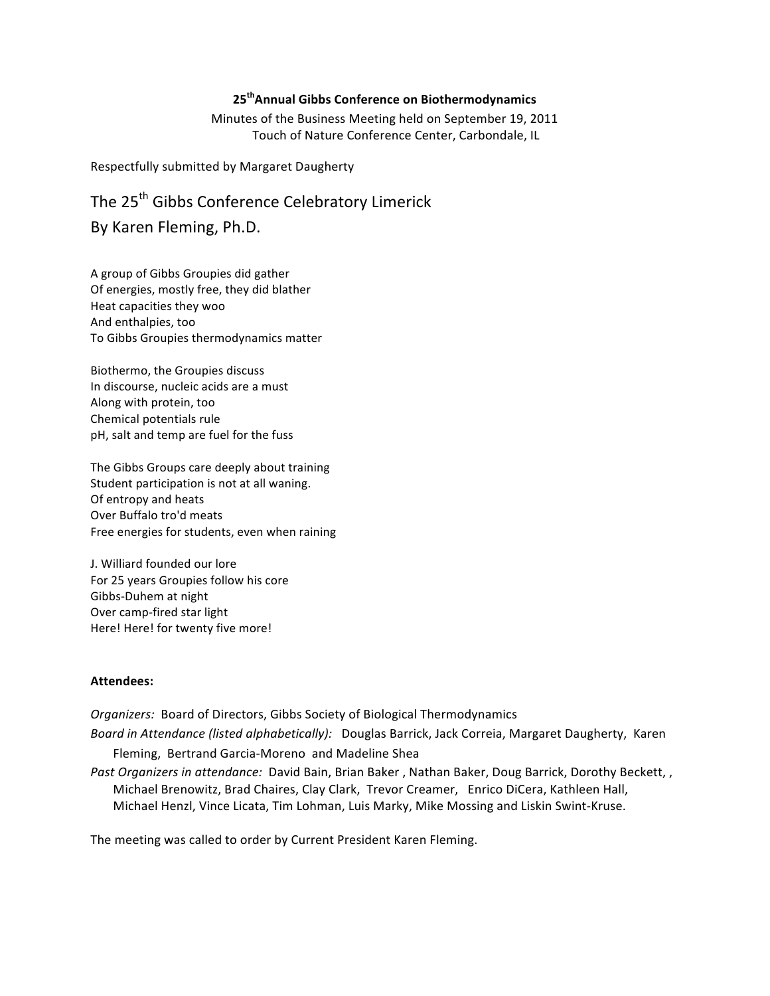## **25thAnnual\*Gibbs\*Conference\*on\*Biothermodynamics**

Minutes of the Business Meeting held on September 19, 2011 Touch of Nature Conference Center, Carbondale, IL

Respectfully submitted by Margaret Daugherty

# The 25<sup>th</sup> Gibbs Conference Celebratory Limerick By Karen Fleming, Ph.D.

A group of Gibbs Groupies did gather Of energies, mostly free, they did blather Heat capacities they woo And enthalpies, too To Gibbs Groupies thermodynamics matter

Biothermo, the Groupies discuss In discourse, nucleic acids are a must Along with protein, too Chemical potentials rule pH, salt and temp are fuel for the fuss

The Gibbs Groups care deeply about training Student participation is not at all waning. Of entropy and heats Over Buffalo tro'd meats Free energies for students, even when raining

J. Williard founded our lore For 25 years Groupies follow his core Gibbs-Duhem at night Over camp-fired star light Here! Here! for twenty five more!

#### Attendees:

*Organizers:* Board of Directors, Gibbs Society of Biological Thermodynamics

*Board in Attendance (listed alphabetically):* Douglas Barrick, Jack Correia, Margaret Daugherty, Karen Fleming, Bertrand Garcia-Moreno and Madeline Shea

*Past Organizers in attendance:* David Bain, Brian Baker, Nathan Baker, Doug Barrick, Dorothy Beckett,, Michael Brenowitz, Brad Chaires, Clay Clark, Trevor Creamer, Enrico DiCera, Kathleen Hall, Michael Henzl, Vince Licata, Tim Lohman, Luis Marky, Mike Mossing and Liskin Swint-Kruse.

The meeting was called to order by Current President Karen Fleming.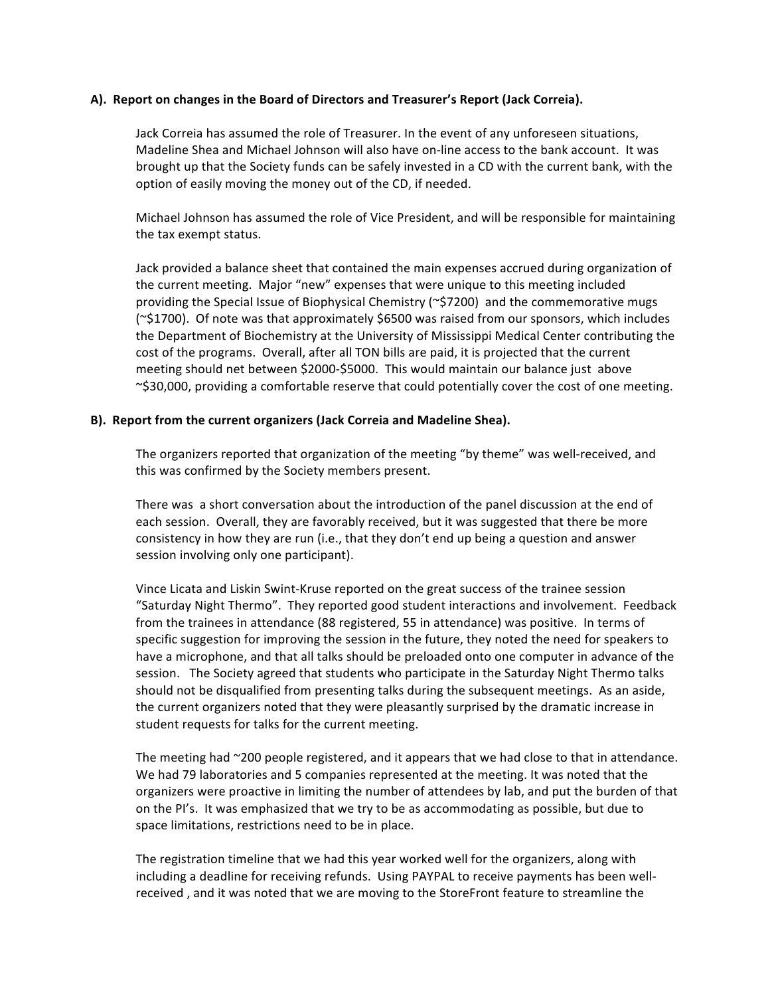#### A). Report on changes in the Board of Directors and Treasurer's Report (Jack Correia).

Jack Correia has assumed the role of Treasurer. In the event of any unforeseen situations, Madeline Shea and Michael Johnson will also have on-line access to the bank account. It was brought up that the Society funds can be safely invested in a CD with the current bank, with the option of easily moving the money out of the CD, if needed.

Michael Johnson has assumed the role of Vice President, and will be responsible for maintaining the tax exempt status.

Jack provided a balance sheet that contained the main expenses accrued during organization of the current meeting. Major "new" expenses that were unique to this meeting included providing the Special Issue of Biophysical Chemistry ( $\approx$ 57200) and the commemorative mugs ( $\approx$ \$1700). Of note was that approximately \$6500 was raised from our sponsors, which includes the Department of Biochemistry at the University of Mississippi Medical Center contributing the cost of the programs. Overall, after all TON bills are paid, it is projected that the current meeting should net between \$2000-\$5000. This would maintain our balance just above  $\sim$ \$30,000, providing a comfortable reserve that could potentially cover the cost of one meeting.

#### **B). Report from the current organizers (Jack Correia and Madeline Shea).**

The organizers reported that organization of the meeting "by theme" was well-received, and this was confirmed by the Society members present.

There was a short conversation about the introduction of the panel discussion at the end of each session. Overall, they are favorably received, but it was suggested that there be more consistency in how they are run (i.e., that they don't end up being a question and answer session involving only one participant).

Vince Licata and Liskin Swint-Kruse reported on the great success of the trainee session "Saturday Night Thermo". They reported good student interactions and involvement. Feedback from the trainees in attendance (88 registered, 55 in attendance) was positive. In terms of specific suggestion for improving the session in the future, they noted the need for speakers to have a microphone, and that all talks should be preloaded onto one computer in advance of the session. The Society agreed that students who participate in the Saturday Night Thermo talks should not be disqualified from presenting talks during the subsequent meetings. As an aside, the current organizers noted that they were pleasantly surprised by the dramatic increase in student requests for talks for the current meeting.

The meeting had  $\sim$ 200 people registered, and it appears that we had close to that in attendance. We had 79 laboratories and 5 companies represented at the meeting. It was noted that the organizers were proactive in limiting the number of attendees by lab, and put the burden of that on the PI's. It was emphasized that we try to be as accommodating as possible, but due to space limitations, restrictions need to be in place.

The registration timeline that we had this year worked well for the organizers, along with including a deadline for receiving refunds. Using PAYPAL to receive payments has been wellreceived, and it was noted that we are moving to the StoreFront feature to streamline the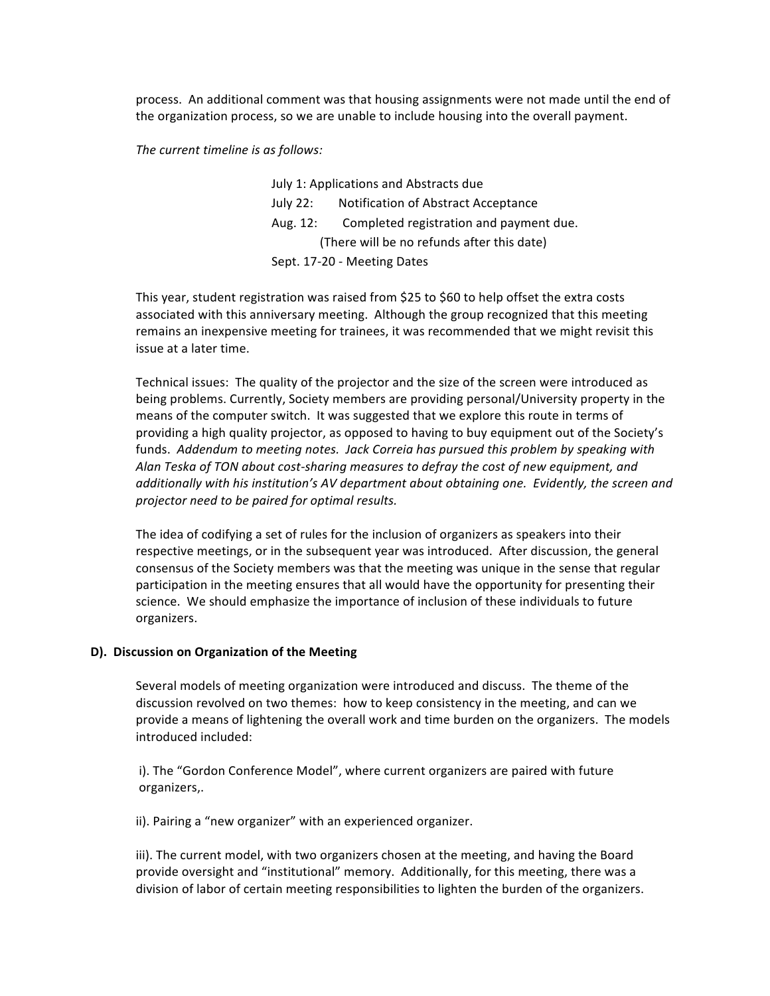process. An additional comment was that housing assignments were not made until the end of the organization process, so we are unable to include housing into the overall payment.

#### *The.current.timeline.is.as.follows:*

July 1: Applications and Abstracts due July 22: Notification of Abstract Acceptance Aug. 12: Completed registration and payment due. (There will be no refunds after this date) Sept. 17-20 - Meeting Dates

This year, student registration was raised from \$25 to \$60 to help offset the extra costs associated with this anniversary meeting. Although the group recognized that this meeting remains an inexpensive meeting for trainees, it was recommended that we might revisit this issue at a later time.

Technical issues: The quality of the projector and the size of the screen were introduced as being problems. Currently, Society members are providing personal/University property in the means of the computer switch. It was suggested that we explore this route in terms of providing a high quality projector, as opposed to having to buy equipment out of the Society's funds. Addendum to.meeting.notes. Jack Correia has pursued this problem by speaking with. Alan Teska of TON about cost-sharing measures to defray the cost of new equipment, and additionally with his institution's AV department about obtaining one. Evidently, the screen and *projector.need.to.be.paired.for.optimal.results.*

The idea of codifying a set of rules for the inclusion of organizers as speakers into their respective meetings, or in the subsequent year was introduced. After discussion, the general consensus of the Society members was that the meeting was unique in the sense that regular participation in the meeting ensures that all would have the opportunity for presenting their science. We should emphasize the importance of inclusion of these individuals to future organizers.

#### **D). Discussion on Organization of the Meeting**

Several models of meeting organization were introduced and discuss. The theme of the discussion revolved on two themes: how to keep consistency in the meeting, and can we provide a means of lightening the overall work and time burden on the organizers. The models introduced included:

i). The "Gordon Conference Model", where current organizers are paired with future organizers,.

ii). Pairing a "new organizer" with an experienced organizer.

iii). The current model, with two organizers chosen at the meeting, and having the Board provide oversight and "institutional" memory. Additionally, for this meeting, there was a division of labor of certain meeting responsibilities to lighten the burden of the organizers.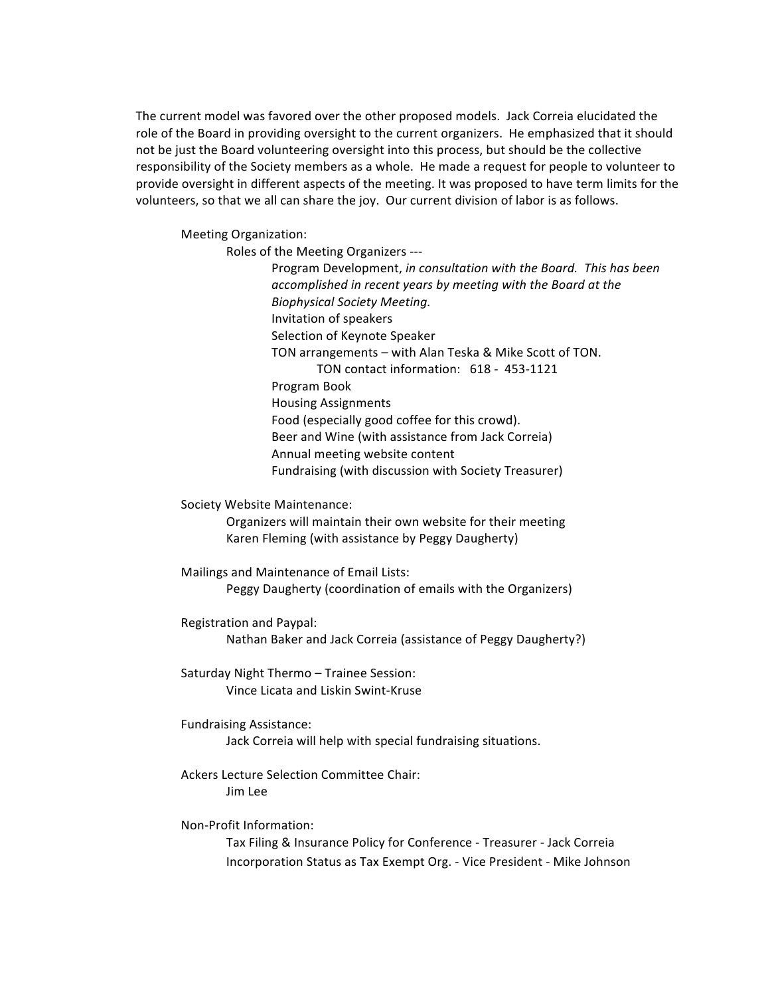The current model was favored over the other proposed models. Jack Correia elucidated the role of the Board in providing oversight to the current organizers. He emphasized that it should not be just the Board volunteering oversight into this process, but should be the collective responsibility of the Society members as a whole. He made a request for people to volunteer to provide oversight in different aspects of the meeting. It was proposed to have term limits for the volunteers, so that we all can share the joy. Our current division of labor is as follows.

Meeting Organization:

Roles of the Meeting Organizers ---

Program Development, *in consultation with the Board. This has been accomplished.in.recent.years.by.meeting.with.the.Board.at.the. Biophysical.Society.Meeting.* Invitation of speakers Selection of Keynote Speaker TON arrangements – with Alan Teska & Mike Scott of TON. TON contact information: 618 - 453-1121 Program Book Housing Assignments Food (especially good coffee for this crowd). Beer and Wine (with assistance from Jack Correia) Annual meeting website content Fundraising (with discussion with Society Treasurer)

Society Website Maintenance:

Organizers will maintain their own website for their meeting Karen Fleming (with assistance by Peggy Daugherty)

Mailings and Maintenance of Email Lists: Peggy Daugherty (coordination of emails with the Organizers)

Registration and Paypal: Nathan Baker and Jack Correia (assistance of Peggy Daugherty?)

Saturday Night Thermo – Trainee Session: Vince Licata and Liskin Swint-Kruse

Fundraising Assistance:

Jack Correia will help with special fundraising situations.

Ackers Lecture Selection Committee Chair: Jim(Lee

Non-Profit Information:

Tax Filing & Insurance Policy for Conference - Treasurer - Jack Correia Incorporation Status as Tax Exempt Org. - Vice President - Mike Johnson